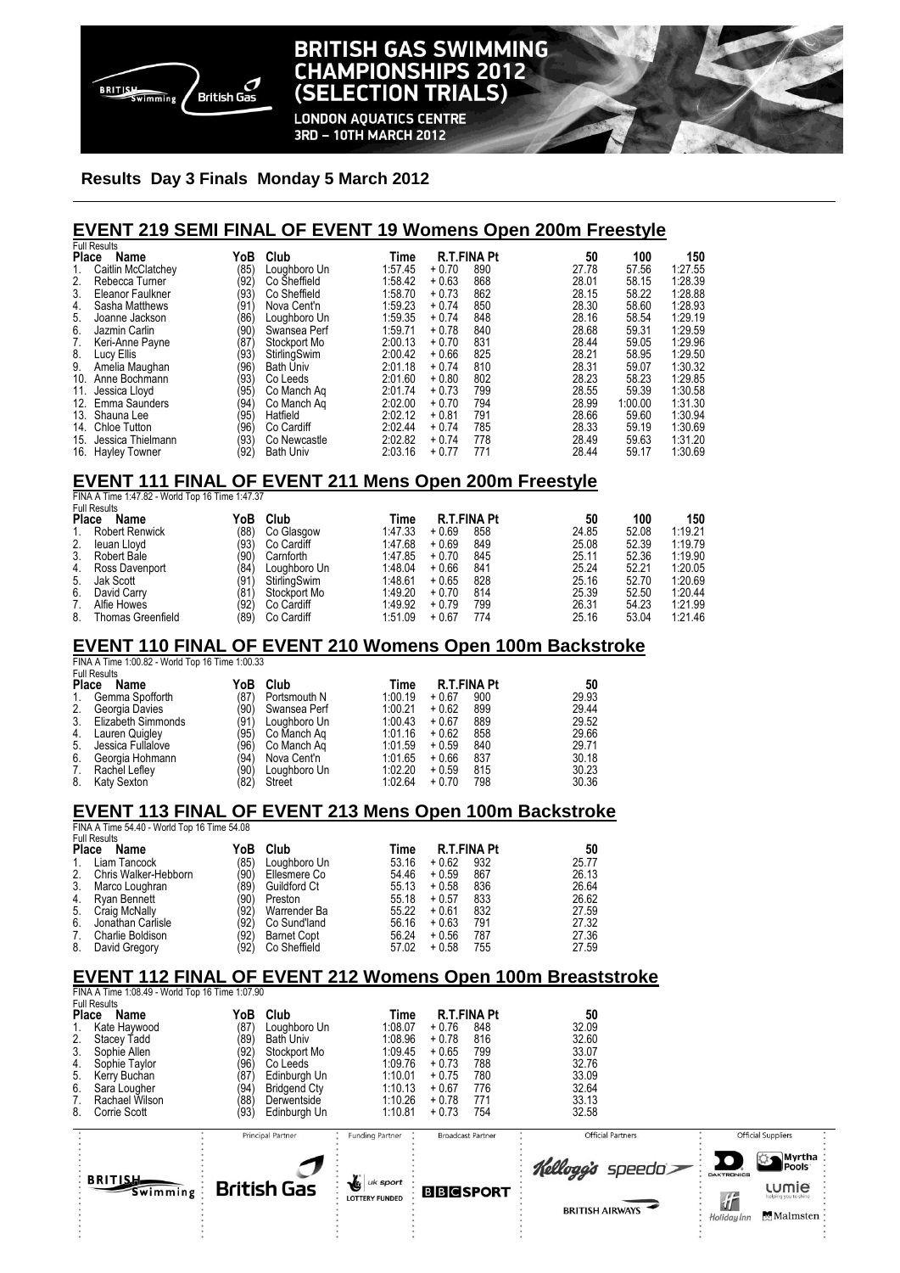

# **BRITISH GAS SWIMMING CHAMPIONSHIPS 2012 (SELECTION TRIALS)**

**LONDON AQUATICS CENTRE** 3RD - 10TH MARCH 2012

### **Results Day 3 Finals Monday 5 March 2012**

### **EVENT 219 SEMI FINAL OF EVENT 19 Womens Open 200m Freestyle**

|       | <b>Full Results</b>  |      |                  |         |         |                    |       |         |         |
|-------|----------------------|------|------------------|---------|---------|--------------------|-------|---------|---------|
| Place | Name                 | YoB  | Club             | Time    |         | <b>R.T.FINA Pt</b> | 50    | 100     | 150     |
|       | Caitlin McClatchey   | (85) | Loughboro Un     | 1:57.45 | $+0.70$ | 890                | 27.78 | 57.56   | 1:27.55 |
| 2.    | Rebecca Turner       | (92) | Co Sheffield     | 1:58.42 | $+0.63$ | 868                | 28.01 | 58.15   | 1:28.39 |
| 3.    | Eleanor Faulkner     | (93  | Co Sheffield     | 1:58.70 | $+0.73$ | 862                | 28.15 | 58.22   | 1:28.88 |
| 4.    | Sasha Matthews       | (91  | Nova Cent'n      | 1:59.23 | $+0.74$ | 850                | 28.30 | 58.60   | 1:28.93 |
| 5.    | Joanne Jackson       | (86) | Loughboro Un     | 1:59.35 | $+0.74$ | 848                | 28.16 | 58.54   | 1:29.19 |
| 6.    | Jazmin Carlin        | (90' | Swansea Perf     | 1:59.71 | $+0.78$ | 840                | 28.68 | 59.31   | 1:29.59 |
| 7.    | Keri-Anne Payne      | 187  | Stockport Mo     | 2:00.13 | $+0.70$ | 831                | 28.44 | 59.05   | 1:29.96 |
| 8.    | Lucy Ellis           | (93' | StirlingSwim     | 2:00.42 | $+0.66$ | 825                | 28.21 | 58.95   | 1:29.50 |
| 9.    | Amelia Maughan       | (96  | <b>Bath Univ</b> | 2:01.18 | $+0.74$ | 810                | 28.31 | 59.07   | 1:30.32 |
| 10.   | Anne Bochmann        | (93) | Co Leeds         | 2:01.60 | $+0.80$ | 802                | 28.23 | 58.23   | 1:29.85 |
| 11.   | Jessica Lloyd        | (95  | Co Manch Ag      | 2:01.74 | $+0.73$ | 799                | 28.55 | 59.39   | 1:30.58 |
| 12.   | <b>Emma Saunders</b> | (94  | Co Manch Ag      | 2:02.00 | $+0.70$ | 794                | 28.99 | 1:00.00 | 1:31.30 |
| 13.   | Shauna Lee           | (95) | Hatfield         | 2:02.12 | $+0.81$ | 791                | 28.66 | 59.60   | 1:30.94 |
| 14.   | <b>Chloe Tutton</b>  | (96  | Co Cardiff       | 2:02.44 | $+0.74$ | 785                | 28.33 | 59.19   | 1:30.69 |
| 15.   | Jessica Thielmann    | (93) | Co Newcastle     | 2:02.82 | $+0.74$ | 778                | 28.49 | 59.63   | 1:31.20 |
| 16.   | <b>Hayley Towner</b> | (92) | <b>Bath Univ</b> | 2:03.16 | $+0.77$ | 771                | 28.44 | 59.17   | 1:30.69 |

#### **EVENT 111 FINAL OF EVENT 211 Mens Open 200m Freestyle**

|                                                            | FINA A Time 1:47.82 - World Top 16 Time 1:47.37 |      |              |         |                    |     |       |       |         |  |
|------------------------------------------------------------|-------------------------------------------------|------|--------------|---------|--------------------|-----|-------|-------|---------|--|
| <b>Full Results</b><br>Club<br><b>Place</b><br>YoB<br>Name |                                                 |      | Time         |         | <b>R.T.FINA Pt</b> | 50  | 100   | 150   |         |  |
| 1.                                                         | <b>Robert Renwick</b>                           | (88) | Co Glasgow   | 1:47.33 | $+0.69$            | 858 | 24.85 | 52.08 | 1:19.21 |  |
| 2.                                                         | leuan Llovd                                     | (93) | Co Cardiff   | 1:47.68 | $+0.69$            | 849 | 25.08 | 52.39 | 1:19.79 |  |
| 3.                                                         | Robert Bale                                     | (90) | Carnforth    | 1:47.85 | $+0.70$            | 845 | 25.11 | 52.36 | 1:19.90 |  |
| 4.                                                         | Ross Davenport                                  | (84) | Loughboro Un | 1:48.04 | $+0.66$            | 841 | 25.24 | 52.21 | 1:20.05 |  |
| 5.                                                         | Jak Scott                                       | (91  | StirlingSwim | 1:48.61 | $+0.65$            | 828 | 25.16 | 52.70 | 1:20.69 |  |
| 6.                                                         | David Carry                                     | (81) | Stockport Mo | 1:49.20 | $+0.70$            | 814 | 25.39 | 52.50 | 1:20.44 |  |
| 7.                                                         | Alfie Howes                                     | (92) | Co Cardiff   | 1:49.92 | $+0.79$            | 799 | 26.31 | 54.23 | 1:21.99 |  |
| 8.                                                         | Thomas Greenfield                               | (89) | Co Cardiff   | 1.51.09 | $+0.67$            | 774 | 25.16 | 53.04 | 1:21.46 |  |

### **EVENT 110 FINAL OF EVENT 210 Womens Open 100m Backstroke**

FINA A Time 1:00.82 - World Top 16 Time 1:00.33

|              | <b>Full Results</b> |      |              |         |         |                    |       |
|--------------|---------------------|------|--------------|---------|---------|--------------------|-------|
| <b>Place</b> | Name                | YoB  | Club         | Time    |         | <b>R.T.FINA Pt</b> | 50    |
|              | Gemma Spofforth     | (87) | Portsmouth N | 1:00.19 | $+0.67$ | 900                | 29.93 |
| 2.           | Georgia Davies      | (90) | Swansea Perf | 1:00.21 | $+0.62$ | 899                | 29.44 |
| 3.           | Elizabeth Simmonds  | (91) | Loughboro Un | 1:00.43 | $+0.67$ | 889                | 29.52 |
| 4.           | Lauren Quigley      | (95) | Co Manch Ag  | 1:01.16 | $+0.62$ | 858                | 29.66 |
| 5.           | Jessica Fullalove   | (96) | Co Manch Ag  | 1:01.59 | $+0.59$ | 840                | 29.71 |
| 6.           | Georgia Hohmann     | (94) | Nova Cent'n  | 1:01.65 | $+0.66$ | 837                | 30.18 |
| 7.           | Rachel Lefley       | (90) | Loughboro Un | 1:02.20 | $+0.59$ | 815                | 30.23 |
| 8.           | Katy Sexton         | (82) | Street       | 1:02.64 | $+0.70$ | 798                | 30.36 |

### **EVENT 113 FINAL OF EVENT 213 Mens Open 100m Backstroke**

FINA A Time 54.40 - World Top 16 Time 54.08 Full Results

| <b>Place</b> | Name                 | YoB  | Club               | Time  | <b>R.T.FINA Pt</b> |     | 50    |
|--------------|----------------------|------|--------------------|-------|--------------------|-----|-------|
| 1.           | Liam Tancock         | (85) | Loughboro Un       | 53.16 | $+0.62$            | 932 | 25.77 |
| 2.           | Chris Walker-Hebborn | (90) | Ellesmere Co       | 54.46 | $+0.59$            | 867 | 26.13 |
| 3.           | Marco Loughran       | (89) | Guildford Ct       | 55.13 | $+0.58$            | 836 | 26.64 |
| 4.           | Ryan Bennett         | (90) | Preston            | 55.18 | $+0.57$            | 833 | 26.62 |
| 5.           | Craig McNally        | (92) | Warrender Ba       | 55.22 | $+0.61$            | 832 | 27.59 |
| 6.           | Jonathan Carlisle    | (92) | Co Sund'land       | 56.16 | $+0.63$            | 791 | 27.32 |
| 7.           | Charlie Boldison     | (92) | <b>Barnet Copt</b> | 56.24 | $+0.56$            | 787 | 27.36 |
| 8.           | David Gregory        | (92) | Co Sheffield       | 57.02 | $+0.58$            | 755 | 27.59 |

## **EVENT 112 FINAL OF EVENT 212 Womens Open 100m Breaststroke**

FINA A Time 1:08.49 - World Top 16 Time 1:07.90 Full Results **Place Name YoB Club Time R.T.FINA Pt 50** 1. Kate Haywood (87) Loughboro Un 1:08.07 + 0.76 848 32.09<br>2. Stacey Tadd (89) Bath Univ 1:08.96 + 0.78 816 32.60 2. Stacey Tadd (89) Bath Univ 1:08.96 + 0.78 816 32.60<br>
3. Sophie Allen (82) Stockport Mo 1:09.45 + 0.65 799 33.07<br>
4. Sophie Taylor (96) Co Leeds 1:09.76 + 0.73 788 32.76 3. Sophie Allen (92) Stockport Mo 1:09.45 + 0.65 799 33.07 4. Sophie Taylor (96) Co Leeds 1:09.76 + 0.73 788 32.76 32.76<br>5. Kerry Buchan (87) Edinburgh Un 1:10.01 + 0.75 780 33.09 97) Edinburgh Un 1:10.01 + 0.75 780 33.09<br>(94) Bridgend Cty 1:10.13 + 0.67 776 32.64<br>(88) Derwentside 1:10.26 + 0.78 771 33.13 6. Sara Lougher (94) Bridgend Cty 1:10.13 + 0.67 776 32.64 7. Rachael Wilson (88) Derwentside 1:10.26 + 0.78 771 33.13 8. Corrie Scott (93) Edinburgh Un 1:10.81 + 0.73 754 32.58

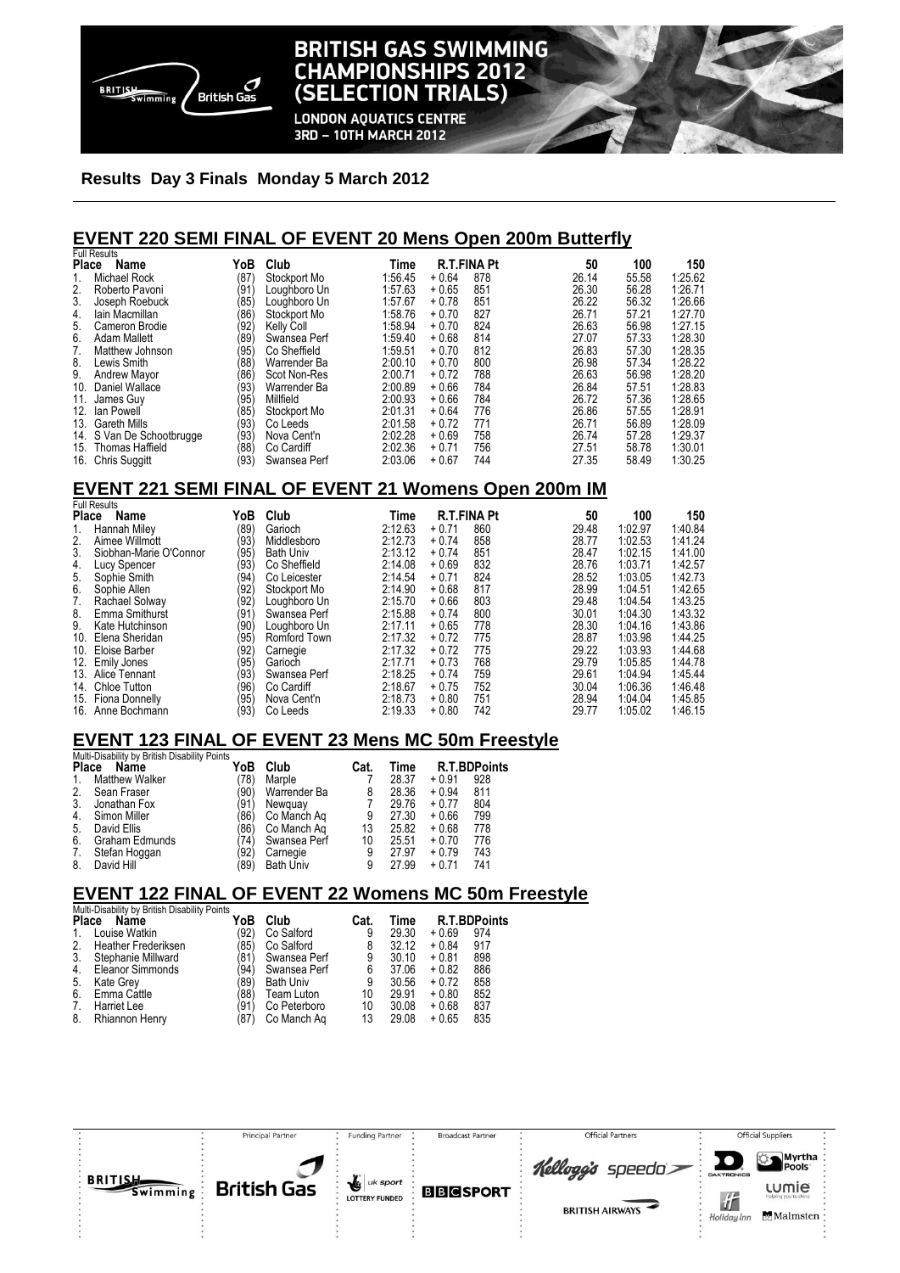

# **BRITISH GAS SWIMMING CHAMPIONSHIPS 2012** (SELECTION TRIALS)

**LONDON AQUATICS CENTRE** 3RD - 10TH MARCH 2012

#### **Results Day 3 Finals Monday 5 March 2012**

## **EVENT 220 SEMI FINAL OF EVENT 20 Mens Open 200m Butterfly**

|     | <b>Full Results</b>       |                  |              |         |         |                    |       |       |         |
|-----|---------------------------|------------------|--------------|---------|---------|--------------------|-------|-------|---------|
|     | Place<br>Name             | YoB              | Club         | Time    |         | <b>R.T.FINA Pt</b> | 50    | 100   | 150     |
| 1.  | Michael Rock              | (87)             | Stockport Mo | 1:56.45 | $+0.64$ | 878                | 26.14 | 55.58 | 1:25.62 |
| 2.  | Roberto Pavoni            | (91              | Loughboro Un | 1:57.63 | $+0.65$ | 851                | 26.30 | 56.28 | 1:26.71 |
| 3.  | Joseph Roebuck            | (85)             | Loughboro Un | 1:57.67 | $+0.78$ | 851                | 26.22 | 56.32 | 1:26.66 |
| 4.  | lain Macmillan            | (86)             | Stockport Mo | 1:58.76 | $+0.70$ | 827                | 26.71 | 57.21 | 1:27.70 |
| 5.  | Cameron Brodie            | (92)             | Kelly Coll   | 1:58.94 | $+0.70$ | 824                | 26.63 | 56.98 | 1:27.15 |
| 6.  | <b>Adam Mallett</b>       | (89              | Swansea Perf | 1:59.40 | $+0.68$ | 814                | 27.07 | 57.33 | 1:28.30 |
| 7.  | Matthew Johnson           | (95)             | Co Sheffield | 1:59.51 | $+0.70$ | 812                | 26.83 | 57.30 | 1:28.35 |
| 8.  | Lewis Smith               | (88)             | Warrender Ba | 2:00.10 | $+0.70$ | 800                | 26.98 | 57.34 | 1:28.22 |
| 9.  | <b>Andrew Mayor</b>       | (86)             | Scot Non-Res | 2:00.71 | $+0.72$ | 788                | 26.63 | 56.98 | 1:28.20 |
| 10. | Daniel Wallace            | (93)             | Warrender Ba | 2:00.89 | $+0.66$ | 784                | 26.84 | 57.51 | 1:28.83 |
| 11. | James Guy                 | (95)             | Millfield    | 2:00.93 | $+0.66$ | 784                | 26.72 | 57.36 | 1:28.65 |
| 12. | lan Powell                | (85)             | Stockport Mo | 2:01.31 | $+0.64$ | 776                | 26.86 | 57.55 | 1:28.91 |
| 13. | <b>Gareth Mills</b>       | <sup>/</sup> 93) | Co Leeds     | 2:01.58 | $+0.72$ | 771                | 26.71 | 56.89 | 1:28.09 |
|     | 14. S Van De Schootbrugge | (93)             | Nova Cent'n  | 2:02.28 | $+0.69$ | 758                | 26.74 | 57.28 | 1:29.37 |
| 15. | <b>Thomas Haffield</b>    | (88)             | Co Cardiff   | 2:02.36 | $+0.71$ | 756                | 27.51 | 58.78 | 1:30.01 |
|     | 16. Chris Suggitt         | (93)             | Swansea Perf | 2:03.06 | $+0.67$ | 744                | 27.35 | 58.49 | 1:30.25 |

## **EVENT 221 SEMI FINAL OF EVENT 21 Womens Open 200m IM**

|              | <b>Full Results</b>    |      |                  |         |                    |     |       |         |         |
|--------------|------------------------|------|------------------|---------|--------------------|-----|-------|---------|---------|
| <b>Place</b> | Name                   | YoB  | Club             | Time    | <b>R.T.FINA Pt</b> |     | 50    | 100     | 150     |
| 1.           | Hannah Miley           | (89) | Garioch          | 2:12.63 | $+0.71$            | 860 | 29.48 | 1:02.97 | 1:40.84 |
| 2.           | Aimee Willmott         | (93) | Middlesboro      | 2:12.73 | $+0.74$            | 858 | 28.77 | 1:02.53 | 1:41.24 |
| 3.           | Siobhan-Marie O'Connor | (95) | <b>Bath Univ</b> | 2:13.12 | $+0.74$            | 851 | 28.47 | 1:02.15 | 1:41.00 |
| 4.           | Lucy Spencer           | (93) | Co Sheffield     | 2:14.08 | $+0.69$            | 832 | 28.76 | 1:03.71 | 1:42.57 |
| 5.           | Sophie Smith           | (94) | Co Leicester     | 2:14.54 | $+0.71$            | 824 | 28.52 | 1:03.05 | 1:42.73 |
| 6.           | Sophie Allen           | (92) | Stockport Mo     | 2:14.90 | $+0.68$            | 817 | 28.99 | 1:04.51 | 1:42.65 |
| 7.           | Rachael Solway         | (92) | Loughboro Un     | 2:15.70 | $+0.66$            | 803 | 29.48 | 1:04.54 | 1:43.25 |
| 8.           | Emma Smithurst         | (91  | Swansea Perf     | 2:15.88 | $+0.74$            | 800 | 30.01 | 1:04.30 | 1:43.32 |
| 9.           | Kate Hutchinson        | (90) | Loughboro Un     | 2:17.11 | $+0.65$            | 778 | 28.30 | 1:04.16 | 1:43.86 |
| 10.          | Elena Sheridan         | (95) | Romford Town     | 2:17.32 | $+0.72$            | 775 | 28.87 | 1:03.98 | 1:44.25 |
|              | 10. Eloise Barber      | (92) | Carnegie         | 2:17.32 | $+0.72$            | 775 | 29.22 | 1:03.93 | 1:44.68 |
| 12.          | Emily Jones            | (95) | Garioch          | 2:17.71 | $+0.73$            | 768 | 29.79 | 1:05.85 | 1:44.78 |
|              | 13. Alice Tennant      | (93) | Swansea Perf     | 2:18.25 | $+0.74$            | 759 | 29.61 | 1:04.94 | 1:45.44 |
| 14.          | Chloe Tutton           | (96) | Co Cardiff       | 2:18.67 | $+0.75$            | 752 | 30.04 | 1:06.36 | 1:46.48 |
|              | 15. Fiona Donnelly     | (95) | Nova Cent'n      | 2:18.73 | $+0.80$            | 751 | 28.94 | 1.04.04 | 1:45.85 |
|              | 16. Anne Bochmann      | (93) | Co Leeds         | 2:19.33 | $+0.80$            | 742 | 29.77 | 1:05.02 | 1:46.15 |

### **EVENT 123 FINAL OF EVENT 23 Mens MC 50m Freestyle**

| <b>Place</b><br>Name  | YoB  | Club                                                | Cat. | Time  |         | <b>R.T.BDPoints</b> |
|-----------------------|------|-----------------------------------------------------|------|-------|---------|---------------------|
| <b>Matthew Walker</b> | (78) | Marple                                              |      | 28.37 | $+0.91$ | 928                 |
| Sean Fraser           | (90) | Warrender Ba                                        | 8    | 28.36 | $+0.94$ | 811                 |
| Jonathan Fox          | (91) | Newquay                                             |      | 29.76 | $+0.77$ | 804                 |
| Simon Miller          | (86) | Co Manch Ag                                         | 9    | 27.30 | $+0.66$ | 799                 |
| David Ellis           | '86) | Co Manch Ag                                         | 13   | 25.82 | $+0.68$ | 778                 |
| <b>Graham Edmunds</b> | '74) | Swansea Perf                                        | 10   | 25.51 | $+0.70$ | 776                 |
| Stefan Hoggan         | (92) | Carnegie                                            | 9    | 27.97 | $+0.79$ | 743                 |
| David Hill            |      | <b>Bath Univ</b>                                    | 9    | 27.99 | $+0.71$ | 741                 |
|                       |      | Multi-Disability by British Disability Points<br>89 |      |       |         |                     |

# **EVENT 122 FINAL OF EVENT 22 Womens MC 50m Freestyle**

|                  | Multi-Disability by British Disability Points |      |                  |      |       |                     |     |  |  |  |  |
|------------------|-----------------------------------------------|------|------------------|------|-------|---------------------|-----|--|--|--|--|
| <b>Place</b>     | Name                                          | YoB  | Club             | Cat. | Time  | <b>R.T.BDPoints</b> |     |  |  |  |  |
| 1.               | Louise Watkin                                 | (92) | Co Salford       | 9    | 29.30 | $+0.69$             | 974 |  |  |  |  |
| 2.               | <b>Heather Frederiksen</b>                    | (85) | Co Salford       | 8    | 32.12 | $+0.84$             | 917 |  |  |  |  |
| 3.               | Stephanie Millward                            | (81) | Swansea Perf     | 9    | 30.10 | $+0.81$             | 898 |  |  |  |  |
| $\overline{4}$ . | <b>Eleanor Simmonds</b>                       | (94) | Swansea Perf     | 6    | 37.06 | $+0.82$             | 886 |  |  |  |  |
| 5.               | Kate Grey                                     | 89)  | <b>Bath Univ</b> | 9    | 30.56 | $+0.72$             | 858 |  |  |  |  |
| 6.               | Emma Cattle                                   | (88) | Team Luton       | 10   | 29.91 | $+0.80$             | 852 |  |  |  |  |
| 7.               | Harriet Lee                                   | (91) | Co Peterboro     | 10   | 30.08 | $+0.68$             | 837 |  |  |  |  |
| 8.               | Rhiannon Henry                                | '87) | Co Manch Ag      | 13   | 29.08 | $+0.65$             | 835 |  |  |  |  |